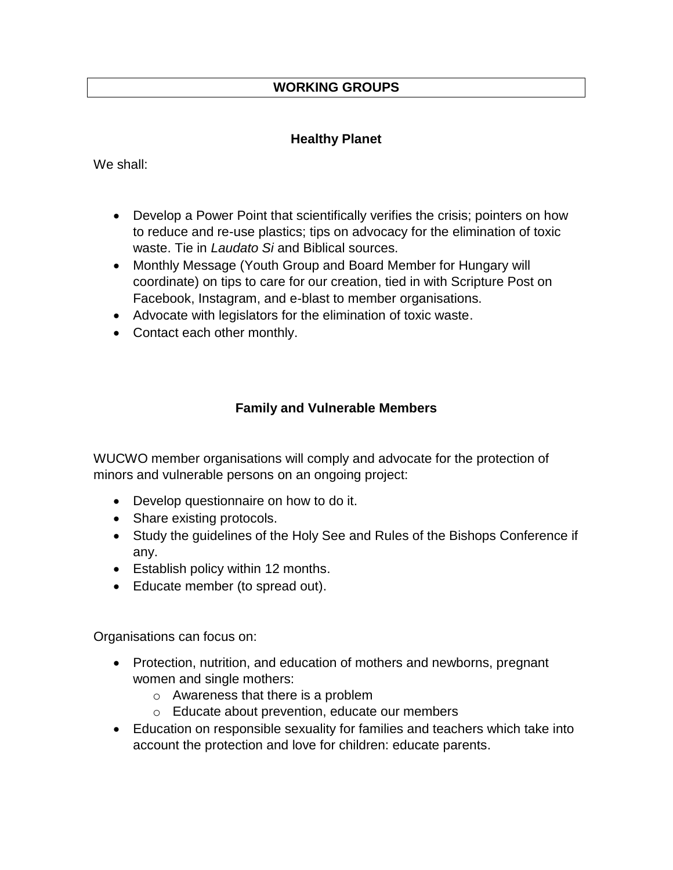# **WORKING GROUPS**

## **Healthy Planet**

We shall:

- Develop a Power Point that scientifically verifies the crisis; pointers on how to reduce and re-use plastics; tips on advocacy for the elimination of toxic waste. Tie in *Laudato Si* and Biblical sources.
- Monthly Message (Youth Group and Board Member for Hungary will coordinate) on tips to care for our creation, tied in with Scripture Post on Facebook, Instagram, and e-blast to member organisations.
- Advocate with legislators for the elimination of toxic waste.
- Contact each other monthly.

# **Family and Vulnerable Members**

WUCWO member organisations will comply and advocate for the protection of minors and vulnerable persons on an ongoing project:

- Develop questionnaire on how to do it.
- Share existing protocols.
- Study the guidelines of the Holy See and Rules of the Bishops Conference if any.
- Establish policy within 12 months.
- Educate member (to spread out).

Organisations can focus on:

- Protection, nutrition, and education of mothers and newborns, pregnant women and single mothers:
	- o Awareness that there is a problem
	- o Educate about prevention, educate our members
- Education on responsible sexuality for families and teachers which take into account the protection and love for children: educate parents.